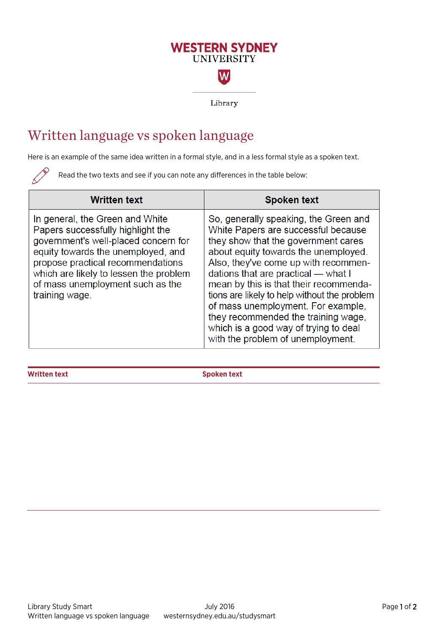## **WESTERN SYDNEY UNIVERSITY** W

Library

## Written language vs spoken language

Here is an example of the same idea written in a formal style, and in a less formal style as a spoken text.

Read the two texts and see if you can note any differences in the table below:

| <b>Written text</b>                                                                                                                                                                                                                                                                     | <b>Spoken text</b>                                                                                                                                                                                                                                                                                                                                                                                                                                                                              |
|-----------------------------------------------------------------------------------------------------------------------------------------------------------------------------------------------------------------------------------------------------------------------------------------|-------------------------------------------------------------------------------------------------------------------------------------------------------------------------------------------------------------------------------------------------------------------------------------------------------------------------------------------------------------------------------------------------------------------------------------------------------------------------------------------------|
| In general, the Green and White<br>Papers successfully highlight the<br>government's well-placed concern for<br>equity towards the unemployed, and<br>propose practical recommendations<br>which are likely to lessen the problem<br>of mass unemployment such as the<br>training wage. | So, generally speaking, the Green and<br>White Papers are successful because<br>they show that the government cares<br>about equity towards the unemployed.<br>Also, they've come up with recommen-<br>dations that are practical — what I<br>mean by this is that their recommenda-<br>tions are likely to help without the problem<br>of mass unemployment. For example,<br>they recommended the training wage,<br>which is a good way of trying to deal<br>with the problem of unemployment. |

**Written text Spoken text**